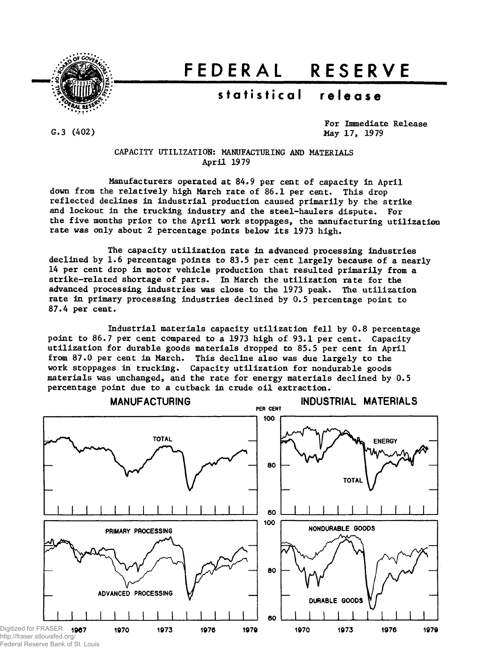

# **FEDERA L RESERV E**

## $statistical$  **release**

 $G.3(402)$ 

For Immediate Release May 17, 1979

CAPACITY UTILIZATION: MANUFACTURING AND MATERIALS April 1979

Manufacturers operated at 84.9 per cent of capacity in April down from the relatively high March rate of 86.1 per cent. This drop reflected declines in industrial production caused primarily by the strike and lockout in the trucking industry and the steel-haulers dispute. For the five months prior to the April work stoppages, the manufacturing utilization rate was only about 2 percentage points below its 1973 high.

The capacity utilization rate in advanced processing industries declined by 1.6 percentage points to 83.5 per cent largely because of a nearly 14 per cent drop in motor vehicle production that resulted primarily from a strike-related shortage of parts. In March the utilization rate for the advanced processing industries was close to the 1973 peak. The utilization rate in primary processing industries declined by 0.5 percentage point to 87.4 per cent.

Industrial materials capacity utilization fell by 0.8 percentage point to 86.7 per cent compared to a 1973 high of 93.1 per cent. Capacity utilization for durable goods materials dropped to 85.5 per cent in April from 87.0 per cent in March. This decline also was due largely to the work stoppages in trucking. Capacity utilization for nondurable goods materials was unchanged, and the rate for energy materials declined by 0.5 percentage point due to a cutback in crude oil extraction.



Federal Reserve Bank of St. Louis